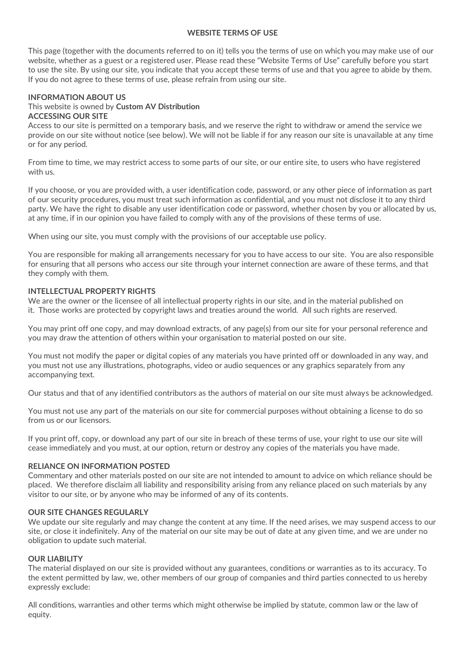# **WEBSITE TERMS OF USE**

This page (together with the documents referred to on it) tells you the terms of use on which you may make use of our website, whether as a guest or a registered user. Please read these "Website Terms of Use" carefully before you start to use the site. By using our site, you indicate that you accept these terms of use and that you agree to abide by them. If you do not agree to these terms of use, please refrain from using our site.

## **INFORMATION ABOUT US**

# This website is owned by **Custom AV Distribution ACCESSING OUR SITE**

Access to our site is permitted on a temporary basis, and we reserve the right to withdraw or amend the service we provide on our site without notice (see below). We will not be liable if for any reason our site is unavailable at any time or for any period.

From time to time, we may restrict access to some parts of our site, or our entire site, to users who have registered with us.

If you choose, or you are provided with, a user identification code, password, or any other piece of information as part of our security procedures, you must treat such information as confidential, and you must not disclose it to any third party. We have the right to disable any user identification code or password, whether chosen by you or allocated by us, at any time, if in our opinion you have failed to comply with any of the provisions of these terms of use.

When using our site, you must comply with the provisions of our acceptable use policy.

You are responsible for making all arrangements necessary for you to have access to our site. You are also responsible for ensuring that all persons who access our site through your internet connection are aware of these terms, and that they comply with them.

# **INTELLECTUAL PROPERTY RIGHTS**

We are the owner or the licensee of all intellectual property rights in our site, and in the material published on it. Those works are protected by copyright laws and treaties around the world. All such rights are reserved.

You may print off one copy, and may download extracts, of any page(s) from our site for your personal reference and you may draw the attention of others within your organisation to material posted on our site.

You must not modify the paper or digital copies of any materials you have printed off or downloaded in any way, and you must not use any illustrations, photographs, video or audio sequences or any graphics separately from any accompanying text.

Our status and that of any identified contributors as the authors of material on our site must always be acknowledged.

You must not use any part of the materials on our site for commercial purposes without obtaining a license to do so from us or our licensors.

If you print off, copy, or download any part of our site in breach of these terms of use, your right to use our site will cease immediately and you must, at our option, return or destroy any copies of the materials you have made.

# **RELIANCE ON INFORMATION POSTED**

Commentary and other materials posted on our site are not intended to amount to advice on which reliance should be placed. We therefore disclaim all liability and responsibility arising from any reliance placed on such materials by any visitor to our site, or by anyone who may be informed of any of its contents.

# **OUR SITE CHANGES REGULARLY**

We update our site regularly and may change the content at any time. If the need arises, we may suspend access to our site, or close it indefinitely. Any of the material on our site may be out of date at any given time, and we are under no obligation to update such material.

# **OUR LIABILITY**

The material displayed on our site is provided without any guarantees, conditions or warranties as to its accuracy. To the extent permitted by law, we, other members of our group of companies and third parties connected to us hereby expressly exclude:

All conditions, warranties and other terms which might otherwise be implied by statute, common law or the law of equity.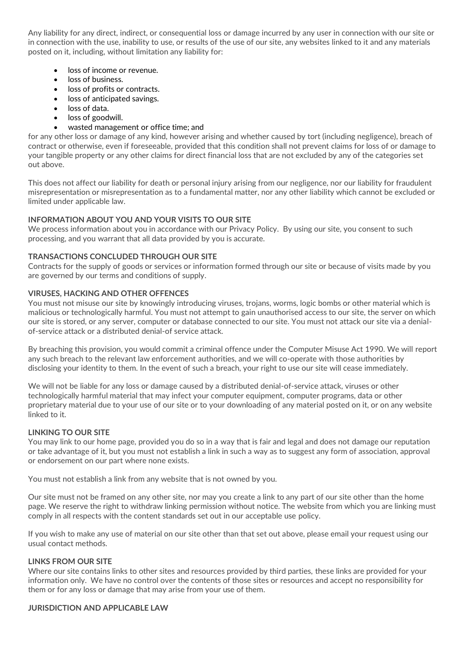Any liability for any direct, indirect, or consequential loss or damage incurred by any user in connection with our site or in connection with the use, inability to use, or results of the use of our site, any websites linked to it and any materials posted on it, including, without limitation any liability for:

- loss of income or revenue.
- loss of business.
- loss of profits or contracts.
- loss of anticipated savings.
- loss of data.
- loss of goodwill.
- wasted management or office time; and

for any other loss or damage of any kind, however arising and whether caused by tort (including negligence), breach of contract or otherwise, even if foreseeable, provided that this condition shall not prevent claims for loss of or damage to your tangible property or any other claims for direct financial loss that are not excluded by any of the categories set out above.

This does not affect our liability for death or personal injury arising from our negligence, nor our liability for fraudulent misrepresentation or misrepresentation as to a fundamental matter, nor any other liability which cannot be excluded or limited under applicable law.

# **INFORMATION ABOUT YOU AND YOUR VISITS TO OUR SITE**

We process information about you in accordance with our Privacy Policy. By using our site, you consent to such processing, and you warrant that all data provided by you is accurate.

## **TRANSACTIONS CONCLUDED THROUGH OUR SITE**

Contracts for the supply of goods or services or information formed through our site or because of visits made by you are governed by our terms and conditions of supply.

#### **VIRUSES, HACKING AND OTHER OFFENCES**

You must not misuse our site by knowingly introducing viruses, trojans, worms, logic bombs or other material which is malicious or technologically harmful. You must not attempt to gain unauthorised access to our site, the server on which our site is stored, or any server, computer or database connected to our site. You must not attack our site via a denialof-service attack or a distributed denial-of service attack.

By breaching this provision, you would commit a criminal offence under the Computer Misuse Act 1990. We will report any such breach to the relevant law enforcement authorities, and we will co-operate with those authorities by disclosing your identity to them. In the event of such a breach, your right to use our site will cease immediately.

We will not be liable for any loss or damage caused by a distributed denial-of-service attack, viruses or other technologically harmful material that may infect your computer equipment, computer programs, data or other proprietary material due to your use of our site or to your downloading of any material posted on it, or on any website linked to it.

#### **LINKING TO OUR SITE**

You may link to our home page, provided you do so in a way that is fair and legal and does not damage our reputation or take advantage of it, but you must not establish a link in such a way as to suggest any form of association, approval or endorsement on our part where none exists.

You must not establish a link from any website that is not owned by you.

Our site must not be framed on any other site, nor may you create a link to any part of our site other than the home page. We reserve the right to withdraw linking permission without notice. The website from which you are linking must comply in all respects with the content standards set out in our acceptable use policy.

If you wish to make any use of material on our site other than that set out above, please email your request using our usual contact methods.

#### **LINKS FROM OUR SITE**

Where our site contains links to other sites and resources provided by third parties, these links are provided for your information only. We have no control over the contents of those sites or resources and accept no responsibility for them or for any loss or damage that may arise from your use of them.

#### **JURISDICTION AND APPLICABLE LAW**